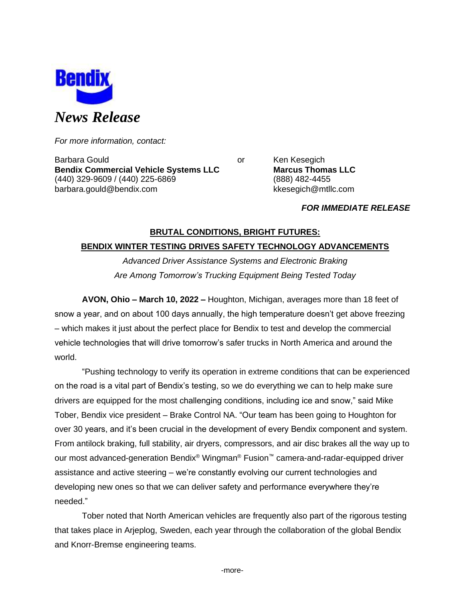

*For more information, contact:*

Barbara Gould **Communist Communist Communist Communist Communist Communist Communist Communist Communist Communist Communist Communist Communist Communist Communist Communist Communist Communist Communist Communist Communi Bendix Commercial Vehicle Systems LLC Marcus Thomas LLC** (440) 329-9609 / (440) 225-6869 (888) 482-4455 barbara.gould@bendix.com kkesegich@mtllc.com

### *FOR IMMEDIATE RELEASE*

# **BRUTAL CONDITIONS, BRIGHT FUTURES: BENDIX WINTER TESTING DRIVES SAFETY TECHNOLOGY ADVANCEMENTS**

*Advanced Driver Assistance Systems and Electronic Braking Are Among Tomorrow's Trucking Equipment Being Tested Today*

**AVON, Ohio – March 10, 2022 –** Houghton, Michigan, averages more than 18 feet of snow a year, and on about 100 days annually, the high temperature doesn't get above freezing – which makes it just about the perfect place for Bendix to test and develop the commercial vehicle technologies that will drive tomorrow's safer trucks in North America and around the world.

"Pushing technology to verify its operation in extreme conditions that can be experienced on the road is a vital part of Bendix's testing, so we do everything we can to help make sure drivers are equipped for the most challenging conditions, including ice and snow," said Mike Tober, Bendix vice president – Brake Control NA. "Our team has been going to Houghton for over 30 years, and it's been crucial in the development of every Bendix component and system. From antilock braking, full stability, air dryers, compressors, and air disc brakes all the way up to our most advanced-generation Bendix® Wingman® Fusion™ camera-and-radar-equipped driver assistance and active steering – we're constantly evolving our current technologies and developing new ones so that we can deliver safety and performance everywhere they're needed."

Tober noted that North American vehicles are frequently also part of the rigorous testing that takes place in Arjeplog, Sweden, each year through the collaboration of the global Bendix and Knorr-Bremse engineering teams.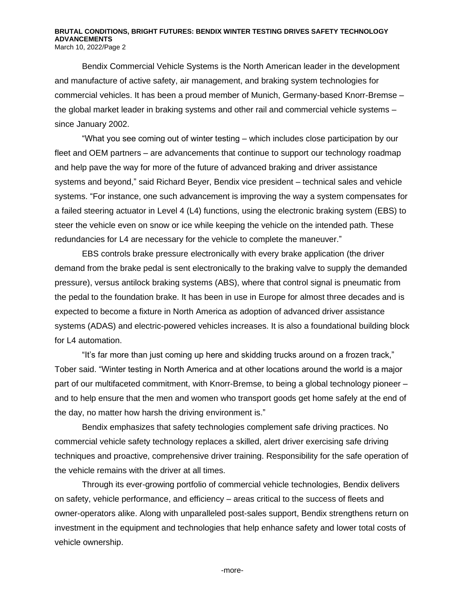#### **BRUTAL CONDITIONS, BRIGHT FUTURES: BENDIX WINTER TESTING DRIVES SAFETY TECHNOLOGY ADVANCEMENTS** March 10, 2022/Page 2

Bendix Commercial Vehicle Systems is the North American leader in the development and manufacture of active safety, air management, and braking system technologies for commercial vehicles. It has been a proud member of Munich, Germany-based Knorr-Bremse – the global market leader in braking systems and other rail and commercial vehicle systems – since January 2002.

"What you see coming out of winter testing – which includes close participation by our fleet and OEM partners – are advancements that continue to support our technology roadmap and help pave the way for more of the future of advanced braking and driver assistance systems and beyond," said Richard Beyer, Bendix vice president – technical sales and vehicle systems. "For instance, one such advancement is improving the way a system compensates for a failed steering actuator in Level 4 (L4) functions, using the electronic braking system (EBS) to steer the vehicle even on snow or ice while keeping the vehicle on the intended path. These redundancies for L4 are necessary for the vehicle to complete the maneuver."

EBS controls brake pressure electronically with every brake application (the driver demand from the brake pedal is sent electronically to the braking valve to supply the demanded pressure), versus antilock braking systems (ABS), where that control signal is pneumatic from the pedal to the foundation brake. It has been in use in Europe for almost three decades and is expected to become a fixture in North America as adoption of advanced driver assistance systems (ADAS) and electric-powered vehicles increases. It is also a foundational building block for L4 automation.

"It's far more than just coming up here and skidding trucks around on a frozen track," Tober said. "Winter testing in North America and at other locations around the world is a major part of our multifaceted commitment, with Knorr-Bremse, to being a global technology pioneer – and to help ensure that the men and women who transport goods get home safely at the end of the day, no matter how harsh the driving environment is."

Bendix emphasizes that safety technologies complement safe driving practices. No commercial vehicle safety technology replaces a skilled, alert driver exercising safe driving techniques and proactive, comprehensive driver training. Responsibility for the safe operation of the vehicle remains with the driver at all times.

Through its ever-growing portfolio of commercial vehicle technologies, Bendix delivers on safety, vehicle performance, and efficiency – areas critical to the success of fleets and owner-operators alike. Along with unparalleled post-sales support, Bendix strengthens return on investment in the equipment and technologies that help enhance safety and lower total costs of vehicle ownership.